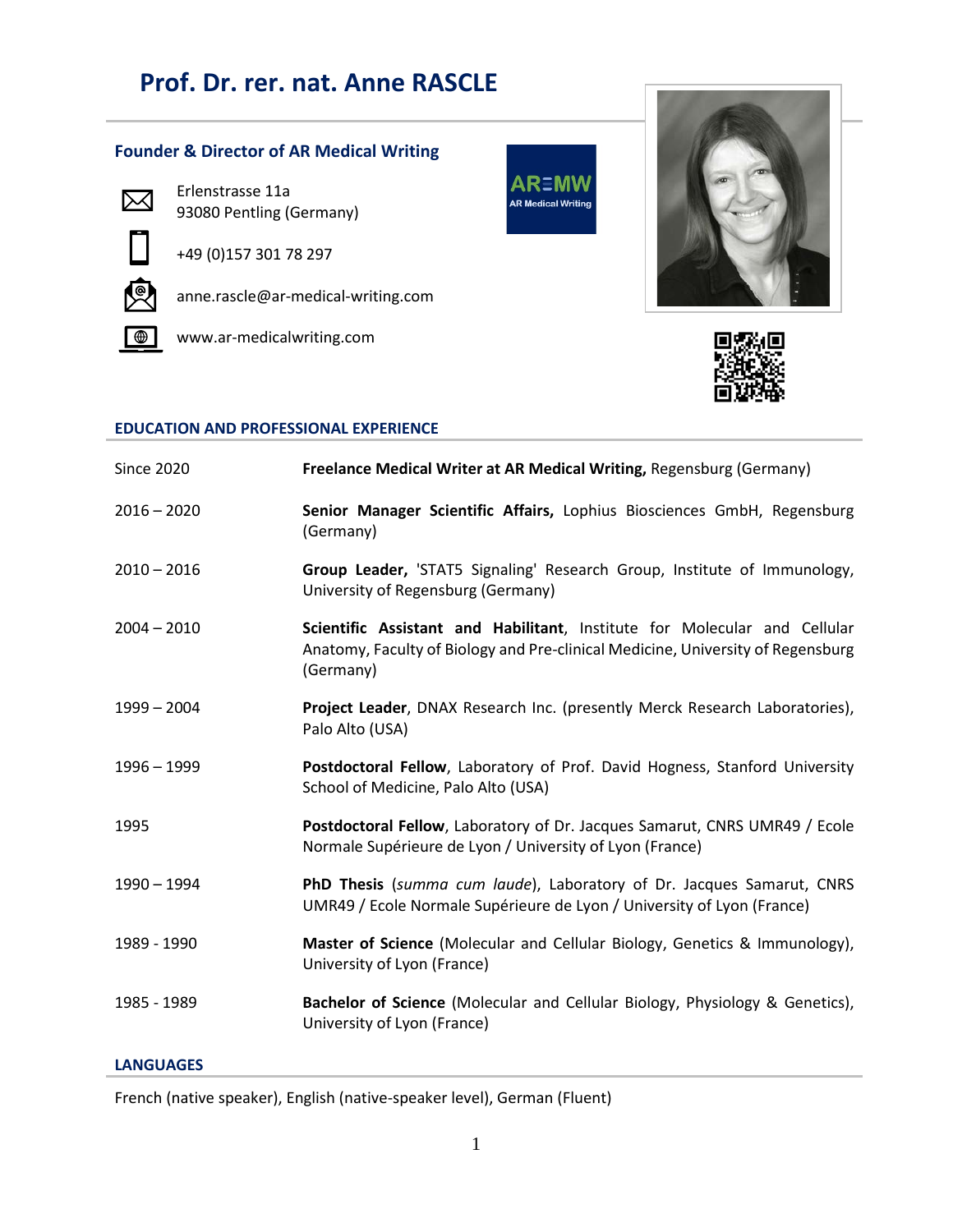# **Prof. Dr. rer. nat. Anne RASCLE**

# **Founder & Director of AR Medical Writing**



Erlenstrasse 11a 93080 Pentling (Germany)

+49 (0)157 301 78 297



anne.rascle@ar-medical-writing.com



**WWW.ar-medicalwriting.com** 





## **EDUCATION AND PROFESSIONAL EXPERIENCE**

| <b>Since 2020</b> | Freelance Medical Writer at AR Medical Writing, Regensburg (Germany)                                                                                                      |
|-------------------|---------------------------------------------------------------------------------------------------------------------------------------------------------------------------|
| $2016 - 2020$     | Senior Manager Scientific Affairs, Lophius Biosciences GmbH, Regensburg<br>(Germany)                                                                                      |
| $2010 - 2016$     | Group Leader, 'STAT5 Signaling' Research Group, Institute of Immunology,<br>University of Regensburg (Germany)                                                            |
| $2004 - 2010$     | Scientific Assistant and Habilitant, Institute for Molecular and Cellular<br>Anatomy, Faculty of Biology and Pre-clinical Medicine, University of Regensburg<br>(Germany) |
| 1999 - 2004       | Project Leader, DNAX Research Inc. (presently Merck Research Laboratories),<br>Palo Alto (USA)                                                                            |
| $1996 - 1999$     | Postdoctoral Fellow, Laboratory of Prof. David Hogness, Stanford University<br>School of Medicine, Palo Alto (USA)                                                        |
| 1995              | Postdoctoral Fellow, Laboratory of Dr. Jacques Samarut, CNRS UMR49 / Ecole<br>Normale Supérieure de Lyon / University of Lyon (France)                                    |
| 1990 - 1994       | PhD Thesis (summa cum laude), Laboratory of Dr. Jacques Samarut, CNRS<br>UMR49 / Ecole Normale Supérieure de Lyon / University of Lyon (France)                           |
| 1989 - 1990       | Master of Science (Molecular and Cellular Biology, Genetics & Immunology),<br>University of Lyon (France)                                                                 |
| 1985 - 1989       | Bachelor of Science (Molecular and Cellular Biology, Physiology & Genetics),<br>University of Lyon (France)                                                               |

AR≡MW **AR Medical Writing** 

# **LANGUAGES**

French (native speaker), English (native-speaker level), German (Fluent)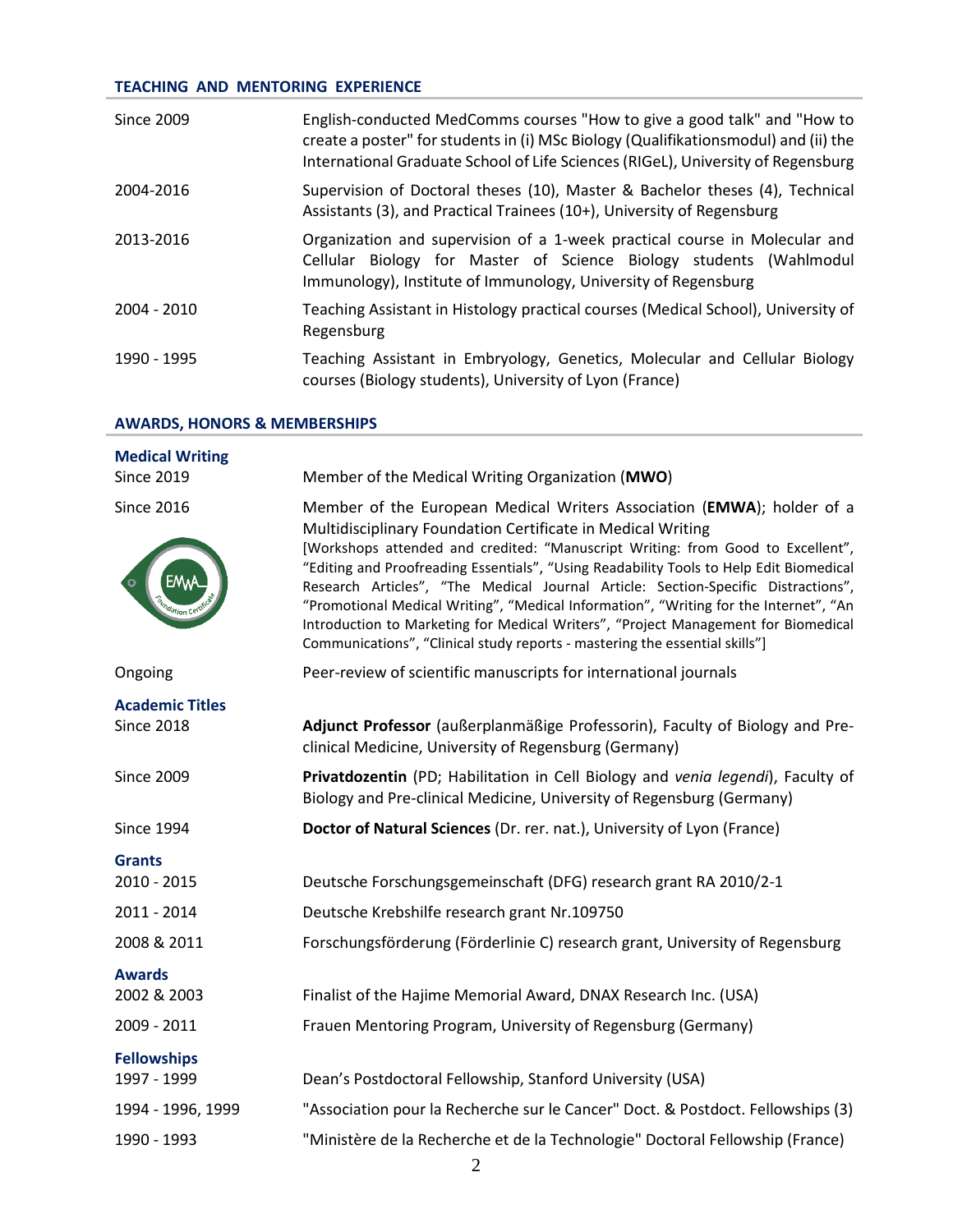# **TEACHING AND MENTORING EXPERIENCE**

| Since 2009    | English-conducted MedComms courses "How to give a good talk" and "How to<br>create a poster" for students in (i) MSc Biology (Qualifikationsmodul) and (ii) the<br>International Graduate School of Life Sciences (RIGeL), University of Regensburg |
|---------------|-----------------------------------------------------------------------------------------------------------------------------------------------------------------------------------------------------------------------------------------------------|
| 2004-2016     | Supervision of Doctoral theses (10), Master & Bachelor theses (4), Technical<br>Assistants (3), and Practical Trainees (10+), University of Regensburg                                                                                              |
| 2013-2016     | Organization and supervision of a 1-week practical course in Molecular and<br>Cellular Biology for Master of Science Biology students (Wahlmodul<br>Immunology), Institute of Immunology, University of Regensburg                                  |
| $2004 - 2010$ | Teaching Assistant in Histology practical courses (Medical School), University of<br>Regensburg                                                                                                                                                     |
| 1990 - 1995   | Teaching Assistant in Embryology, Genetics, Molecular and Cellular Biology<br>courses (Biology students), University of Lyon (France)                                                                                                               |

### **AWARDS, HONORS & MEMBERSHIPS**

| <b>Medical Writing</b> |                                                                                                                                                                                                                                                                                                                                                                                                                                                                                                                                                                                                                                                                        |
|------------------------|------------------------------------------------------------------------------------------------------------------------------------------------------------------------------------------------------------------------------------------------------------------------------------------------------------------------------------------------------------------------------------------------------------------------------------------------------------------------------------------------------------------------------------------------------------------------------------------------------------------------------------------------------------------------|
| <b>Since 2019</b>      | Member of the Medical Writing Organization (MWO)                                                                                                                                                                                                                                                                                                                                                                                                                                                                                                                                                                                                                       |
| <b>Since 2016</b>      | Member of the European Medical Writers Association (EMWA); holder of a<br>Multidisciplinary Foundation Certificate in Medical Writing<br>[Workshops attended and credited: "Manuscript Writing: from Good to Excellent",<br>"Editing and Proofreading Essentials", "Using Readability Tools to Help Edit Biomedical<br>Research Articles", "The Medical Journal Article: Section-Specific Distractions",<br>"Promotional Medical Writing", "Medical Information", "Writing for the Internet", "An<br>Introduction to Marketing for Medical Writers", "Project Management for Biomedical<br>Communications", "Clinical study reports - mastering the essential skills"] |
| Ongoing                | Peer-review of scientific manuscripts for international journals                                                                                                                                                                                                                                                                                                                                                                                                                                                                                                                                                                                                       |
| <b>Academic Titles</b> |                                                                                                                                                                                                                                                                                                                                                                                                                                                                                                                                                                                                                                                                        |
| <b>Since 2018</b>      | Adjunct Professor (außerplanmäßige Professorin), Faculty of Biology and Pre-<br>clinical Medicine, University of Regensburg (Germany)                                                                                                                                                                                                                                                                                                                                                                                                                                                                                                                                  |
| <b>Since 2009</b>      | Privatdozentin (PD; Habilitation in Cell Biology and venia legendi), Faculty of<br>Biology and Pre-clinical Medicine, University of Regensburg (Germany)                                                                                                                                                                                                                                                                                                                                                                                                                                                                                                               |
| <b>Since 1994</b>      | Doctor of Natural Sciences (Dr. rer. nat.), University of Lyon (France)                                                                                                                                                                                                                                                                                                                                                                                                                                                                                                                                                                                                |
| <b>Grants</b>          |                                                                                                                                                                                                                                                                                                                                                                                                                                                                                                                                                                                                                                                                        |
| 2010 - 2015            | Deutsche Forschungsgemeinschaft (DFG) research grant RA 2010/2-1                                                                                                                                                                                                                                                                                                                                                                                                                                                                                                                                                                                                       |
| 2011 - 2014            | Deutsche Krebshilfe research grant Nr.109750                                                                                                                                                                                                                                                                                                                                                                                                                                                                                                                                                                                                                           |
| 2008 & 2011            | Forschungsförderung (Förderlinie C) research grant, University of Regensburg                                                                                                                                                                                                                                                                                                                                                                                                                                                                                                                                                                                           |
| <b>Awards</b>          |                                                                                                                                                                                                                                                                                                                                                                                                                                                                                                                                                                                                                                                                        |
| 2002 & 2003            | Finalist of the Hajime Memorial Award, DNAX Research Inc. (USA)                                                                                                                                                                                                                                                                                                                                                                                                                                                                                                                                                                                                        |
| 2009 - 2011            | Frauen Mentoring Program, University of Regensburg (Germany)                                                                                                                                                                                                                                                                                                                                                                                                                                                                                                                                                                                                           |
| <b>Fellowships</b>     |                                                                                                                                                                                                                                                                                                                                                                                                                                                                                                                                                                                                                                                                        |
| 1997 - 1999            | Dean's Postdoctoral Fellowship, Stanford University (USA)                                                                                                                                                                                                                                                                                                                                                                                                                                                                                                                                                                                                              |
| 1994 - 1996, 1999      | "Association pour la Recherche sur le Cancer" Doct. & Postdoct. Fellowships (3)                                                                                                                                                                                                                                                                                                                                                                                                                                                                                                                                                                                        |
| 1990 - 1993            | "Ministère de la Recherche et de la Technologie" Doctoral Fellowship (France)                                                                                                                                                                                                                                                                                                                                                                                                                                                                                                                                                                                          |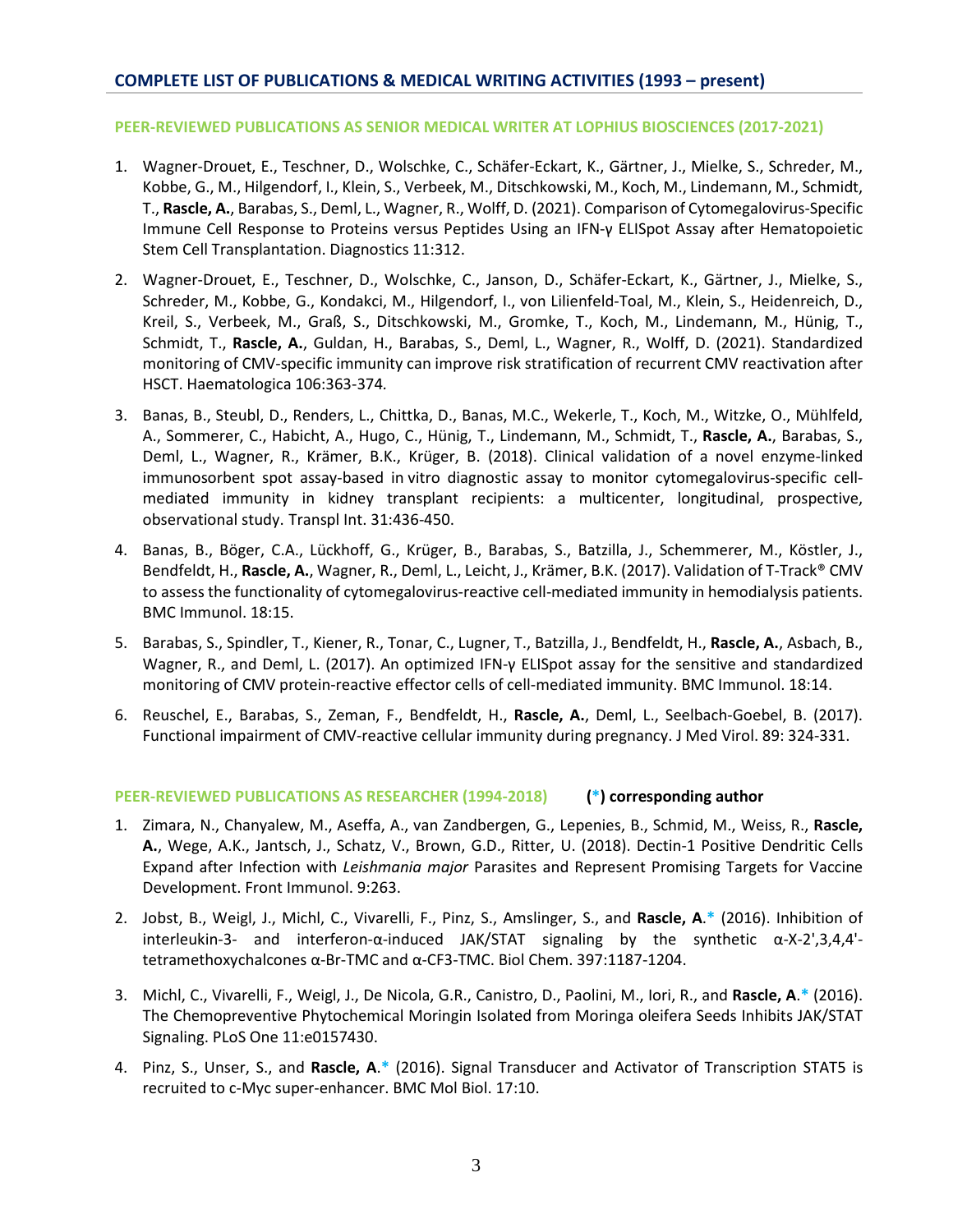# **COMPLETE LIST OF PUBLICATIONS & MEDICAL WRITING ACTIVITIES (1993 – present)**

## **PEER-REVIEWED PUBLICATIONS AS SENIOR MEDICAL WRITER AT LOPHIUS BIOSCIENCES (2017-2021)**

- 1. Wagner-Drouet, E., Teschner, D., Wolschke, C., Schäfer-Eckart, K., Gärtner, J., Mielke, S., Schreder, M., Kobbe, G., M., Hilgendorf, I., Klein, S., Verbeek, M., Ditschkowski, M., Koch, M., Lindemann, M., Schmidt, T., **Rascle, A.**, Barabas, S., Deml, L., Wagner, R., Wolff, D. (2021). Comparison of Cytomegalovirus-Specific Immune Cell Response to Proteins versus Peptides Using an IFN-γ ELISpot Assay after Hematopoietic Stem Cell Transplantation. Diagnostics 11:312.
- 2. Wagner-Drouet, E., Teschner, D., Wolschke, C., Janson, D., Schäfer-Eckart, K., Gärtner, J., Mielke, S., Schreder, M., Kobbe, G., Kondakci, M., Hilgendorf, I., von Lilienfeld-Toal, M., Klein, S., Heidenreich, D., Kreil, S., Verbeek, M., Graß, S., Ditschkowski, M., Gromke, T., Koch, M., Lindemann, M., Hünig, T., Schmidt, T., **Rascle, A.**, Guldan, H., Barabas, S., Deml, L., Wagner, R., Wolff, D. (2021). Standardized monitoring of CMV-specific immunity can improve risk stratification of recurrent CMV reactivation after HSCT. Haematologica 106:363-374*.*
- 3. Banas, B., Steubl, D., Renders, L., Chittka, D., Banas, M.C., Wekerle, T., Koch, M., Witzke, O., Mühlfeld, A., Sommerer, C., Habicht, A., Hugo, C., Hünig, T., Lindemann, M., Schmidt, T., **Rascle, A.**, Barabas, S., Deml, L., Wagner, R., Krämer, B.K., Krüger, B. (2018). Clinical validation of a novel enzyme-linked immunosorbent spot assay-based in vitro diagnostic assay to monitor cytomegalovirus-specific cellmediated immunity in kidney transplant recipients: a multicenter, longitudinal, prospective, observational study. Transpl Int. 31:436-450.
- 4. Banas, B., Böger, C.A., Lückhoff, G., Krüger, B., Barabas, S., Batzilla, J., Schemmerer, M., Köstler, J., Bendfeldt, H., **Rascle, A.**, Wagner, R., Deml, L., Leicht, J., Krämer, B.K. (2017). Validation of T-Track® CMV to assess the functionality of cytomegalovirus-reactive cell-mediated immunity in hemodialysis patients. BMC Immunol. 18:15.
- 5. Barabas, S., Spindler, T., Kiener, R., Tonar, C., Lugner, T., Batzilla, J., Bendfeldt, H., **Rascle, A.**, Asbach, B., Wagner, R., and Deml, L. (2017). An optimized IFN-γ ELISpot assay for the sensitive and standardized monitoring of CMV protein-reactive effector cells of cell-mediated immunity. BMC Immunol. 18:14.
- 6. Reuschel, E., Barabas, S., Zeman, F., Bendfeldt, H., **Rascle, A.**, Deml, L., Seelbach-Goebel, B. (2017). Functional impairment of CMV-reactive cellular immunity during pregnancy. J Med Virol. 89: 324-331.

#### **PEER-REVIEWED PUBLICATIONS AS RESEARCHER (1994-2018) (\*) corresponding author**

- 1. Zimara, N., Chanyalew, M., Aseffa, A., van Zandbergen, G., Lepenies, B., Schmid, M., Weiss, R., **Rascle, A.**, Wege, A.K., Jantsch, J., Schatz, V., Brown, G.D., Ritter, U. (2018). Dectin-1 Positive Dendritic Cells Expand after Infection with *Leishmania major* Parasites and Represent Promising Targets for Vaccine Development. Front Immunol. 9:263.
- 2. Jobst, B., Weigl, J., Michl, C., Vivarelli, F., Pinz, S., Amslinger, S., and **Rascle, A**.**\*** (2016). Inhibition of interleukin-3- and interferon-α-induced JAK/STAT signaling by the synthetic α-X-2',3,4,4' tetramethoxychalcones α-Br-TMC and α-CF3-TMC. Biol Chem. 397:1187-1204.
- 3. Michl, C., Vivarelli, F., Weigl, J., De Nicola, G.R., Canistro, D., Paolini, M., Iori, R., and **Rascle, A**.**\*** (2016). [The Chemopreventive Phytochemical Moringin Isolated from Moringa oleifera Seeds Inhibits JAK/STAT](http://www.ncbi.nlm.nih.gov/pubmed/27304884)  [Signaling.](http://www.ncbi.nlm.nih.gov/pubmed/27304884) PLoS One 11:e0157430.
- 4. Pinz, S., Unser, S., and **Rascle, A**.**\*** (2016). Signal Transducer and Activator of Transcription STAT5 is recruited to c-Myc super-enhancer. BMC Mol Biol. 17:10.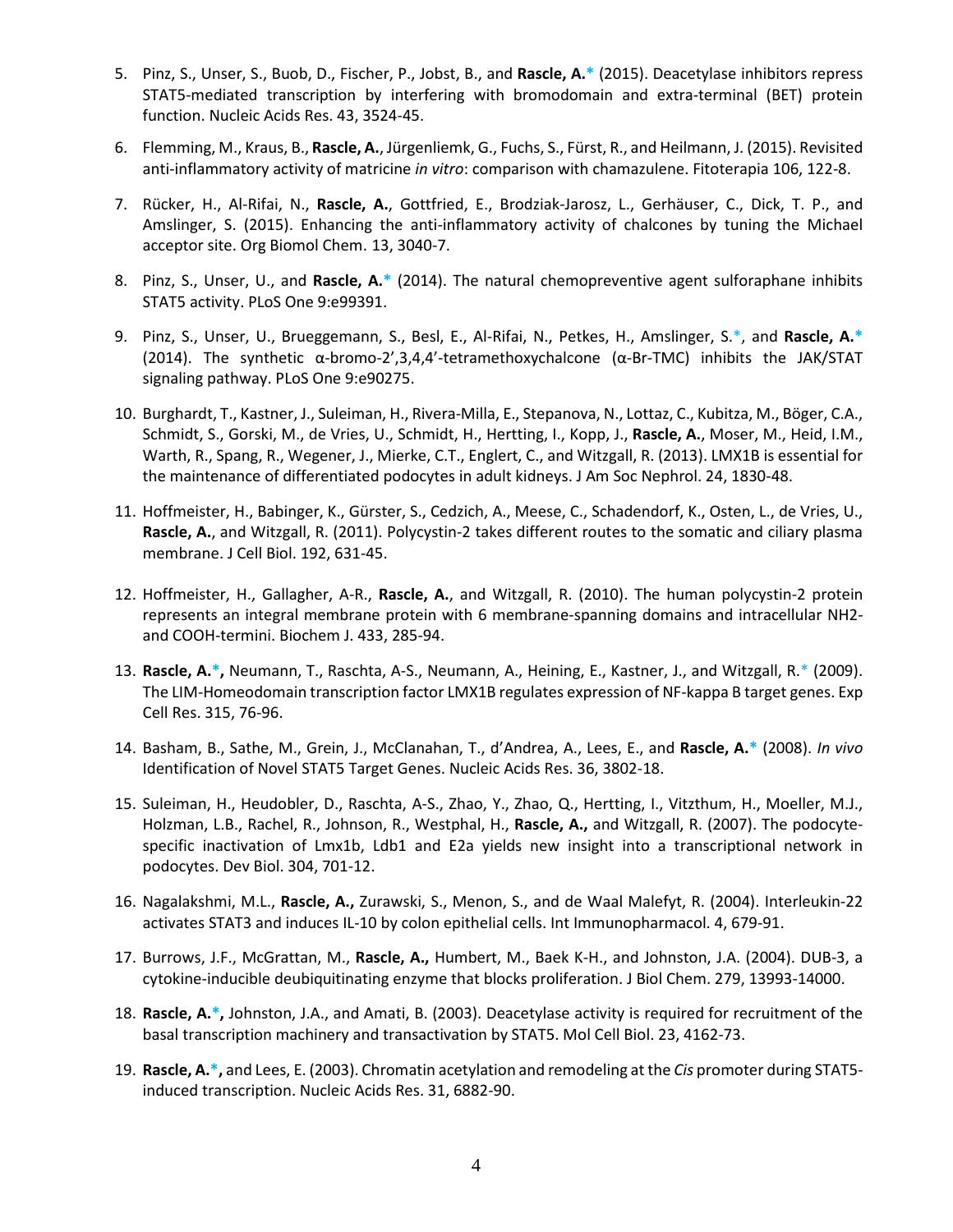- 5. Pinz, S., Unser, S., Buob, D., Fischer, P., Jobst, B., and **Rascle, A.\*** (2015). Deacetylase inhibitors repress STAT5-mediated transcription by interfering with bromodomain and extra-terminal (BET) protein function. Nucleic Acids Res. 43, 3524-45.
- 6. Flemming, M., Kraus, B., **Rascle, A.**, Jürgenliemk, G., Fuchs, S., Fürst, R., and Heilmann, J. (2015). Revisited anti-inflammatory activity of matricine *in vitro*: comparison with chamazulene. Fitoterapia 106, 122-8.
- 7. Rücker, H., Al-Rifai, N., **Rascle, A.**, Gottfried, E., Brodziak-Jarosz, L., Gerhäuser, C., Dick, T. P., and Amslinger, S. (2015). Enhancing the anti-inflammatory activity of chalcones by tuning the Michael acceptor site. Org Biomol Chem. 13, 3040-7.
- 8. Pinz, S., Unser, U., and **Rascle, A.\*** (2014). The natural chemopreventive agent sulforaphane inhibits STAT5 activity. PLoS One 9:e99391.
- 9. Pinz, S., Unser, U., Brueggemann, S., Besl, E., Al-Rifai, N., Petkes, H., Amslinger, S.\*, and **Rascle, A.\*** (2014). The synthetic α-bromo-2',3,4,4'-tetramethoxychalcone (α-Br-TMC) inhibits the JAK/STAT signaling pathway. PLoS One 9:e90275.
- 10. Burghardt, T., Kastner, J., Suleiman, H., Rivera-Milla, E., Stepanova, N., Lottaz, C., Kubitza, M., Böger, C.A., Schmidt, S., Gorski, M., de Vries, U., Schmidt, H., Hertting, I., Kopp, J., **Rascle, A.**, Moser, M., Heid, I.M., Warth, R., Spang, R., Wegener, J., Mierke, C.T., Englert, C., and Witzgall, R. (2013). LMX1B is essential for the maintenance of differentiated podocytes in adult kidneys. J Am Soc Nephrol. 24, 1830-48.
- 11. Hoffmeister, H., Babinger, K., Gürster, S., Cedzich, A., Meese, C., Schadendorf, K., Osten, L., de Vries, U., **Rascle, A.**, and Witzgall, R. (2011). Polycystin-2 takes different routes to the somatic and ciliary plasma membrane. J Cell Biol. 192, 631-45.
- 12. Hoffmeister, H., Gallagher, A-R., **Rascle, A.**, and Witzgall, R. (2010). The human polycystin-2 protein represents an integral membrane protein with 6 membrane-spanning domains and intracellular NH2 and COOH-termini. Biochem J. 433, 285-94.
- 13. **Rascle, A.\*,** Neumann, T., Raschta, A-S., Neumann, A., Heining, E., Kastner, J., and Witzgall, R.\* (2009). The LIM-Homeodomain transcription factor LMX1B regulates expression of NF-kappa B target genes. Exp Cell Res. 315, 76-96.
- 14. Basham, B., Sathe, M., Grein, J., McClanahan, T., d'Andrea, A., Lees, E., and **Rascle, A.\*** (2008). *In vivo*  Identification of Novel STAT5 Target Genes. Nucleic Acids Res. 36, 3802-18.
- 15. Suleiman, H., Heudobler, D., Raschta, A-S., Zhao, Y., Zhao, Q., Hertting, I., Vitzthum, H., Moeller, M.J., Holzman, L.B., Rachel, R., Johnson, R., Westphal, H., **Rascle, A.,** and Witzgall, R. (2007). The podocytespecific inactivation of Lmx1b, Ldb1 and E2a yields new insight into a transcriptional network in podocytes. Dev Biol. 304, 701-12.
- 16. Nagalakshmi, M.L., **Rascle, A.,** Zurawski, S., Menon, S., and de Waal Malefyt, R. (2004). Interleukin-22 activates STAT3 and induces IL-10 by colon epithelial cells. Int Immunopharmacol. 4, 679-91.
- 17. Burrows, J.F., McGrattan, M., **Rascle, A.,** Humbert, M., Baek K-H., and Johnston, J.A. (2004). DUB-3, a cytokine-inducible deubiquitinating enzyme that blocks proliferation. J Biol Chem. 279, 13993-14000.
- 18. **Rascle, A.\*,** Johnston, J.A., and Amati, B. (2003). Deacetylase activity is required for recruitment of the basal transcription machinery and transactivation by STAT5. Mol Cell Biol. 23, 4162-73.
- 19. **Rascle, A.\*,** and Lees, E. (2003). Chromatin acetylation and remodeling at the *Cis* promoter during STAT5 induced transcription. Nucleic Acids Res. 31, 6882-90.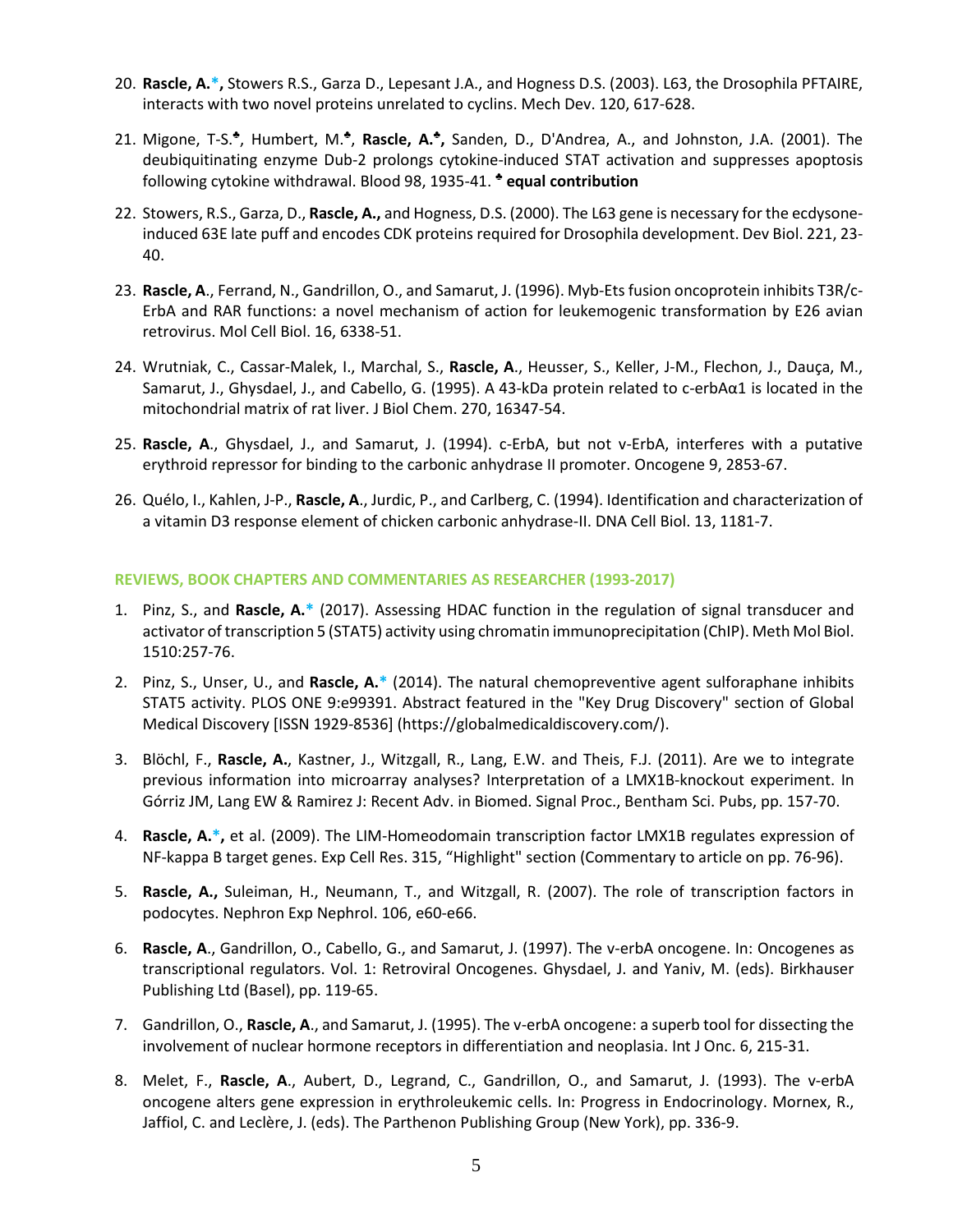- 20. **Rascle, A.\*,** Stowers R.S., Garza D., Lepesant J.A., and Hogness D.S. (2003). L63, the Drosophila PFTAIRE, interacts with two novel proteins unrelated to cyclins. Mech Dev. 120, 617-628.
- 21. Migone, T-S.**♣**, Humbert, M.**♣**, **Rascle, A.♣,** Sanden, D., D'Andrea, A., and Johnston, J.A. (2001). The deubiquitinating enzyme Dub-2 prolongs cytokine-induced STAT activation and suppresses apoptosis following cytokine withdrawal. Blood 98, 1935-41. **♣ equal contribution**
- 22. Stowers, R.S., Garza, D., **Rascle, A.,** and Hogness, D.S. (2000). The L63 gene is necessary for the ecdysoneinduced 63E late puff and encodes CDK proteins required for Drosophila development. Dev Biol. 221, 23- 40.
- 23. **Rascle, A**., Ferrand, N., Gandrillon, O., and Samarut, J. (1996). Myb-Ets fusion oncoprotein inhibits T3R/c-ErbA and RAR functions: a novel mechanism of action for leukemogenic transformation by E26 avian retrovirus. Mol Cell Biol. 16, 6338-51.
- 24. Wrutniak, C., Cassar-Malek, I., Marchal, S., **Rascle, A**., Heusser, S., Keller, J-M., Flechon, J., Dauça, M., Samarut, J., Ghysdael, J., and Cabello, G. (1995). A 43-kDa protein related to c-erbAα1 is located in the mitochondrial matrix of rat liver. J Biol Chem. 270, 16347-54.
- 25. **Rascle, A**., Ghysdael, J., and Samarut, J. (1994). c-ErbA, but not v-ErbA, interferes with a putative erythroid repressor for binding to the carbonic anhydrase II promoter. Oncogene 9, 2853-67.
- 26. Quélo, I., Kahlen, J-P., **Rascle, A**., Jurdic, P., and Carlberg, C. (1994). Identification and characterization of a vitamin D3 response element of chicken carbonic anhydrase-II. DNA Cell Biol. 13, 1181-7.

## **REVIEWS, BOOK CHAPTERS AND COMMENTARIES AS RESEARCHER (1993-2017)**

- 1. Pinz, S., and **Rascle, A.\*** (2017). Assessing HDAC function in the regulation of signal transducer and activator of transcription 5 (STAT5) activity using chromatin immunoprecipitation (ChIP). Meth Mol Biol. 1510:257-76.
- 2. Pinz, S., Unser, U., and **Rascle, A.\*** (2014). The natural chemopreventive agent sulforaphane inhibits STAT5 activity. PLOS ONE 9:e99391. Abstract featured in the "Key Drug Discovery" section of Global Medical Discovery [ISSN 1929-8536] (https://globalmedicaldiscovery.com/).
- 3. Blöchl, F., **Rascle, A.**, Kastner, J., Witzgall, R., Lang, E.W. and Theis, F.J. (2011). Are we to integrate previous information into microarray analyses? Interpretation of a LMX1B-knockout experiment. In Górriz JM, Lang EW & Ramirez J: Recent Adv. in Biomed. Signal Proc., Bentham Sci. Pubs, pp. 157-70.
- 4. **Rascle, A.\*,** et al. (2009). The LIM-Homeodomain transcription factor LMX1B regulates expression of NF-kappa B target genes. Exp Cell Res. 315, "Highlight" section (Commentary to article on pp. 76-96).
- 5. **Rascle, A.,** Suleiman, H., Neumann, T., and Witzgall, R. (2007). The role of transcription factors in podocytes. Nephron Exp Nephrol. 106, e60-e66.
- 6. **Rascle, A**., Gandrillon, O., Cabello, G., and Samarut, J. (1997). The v-erbA oncogene. In: Oncogenes as transcriptional regulators. Vol. 1: Retroviral Oncogenes. Ghysdael, J. and Yaniv, M. (eds). Birkhauser Publishing Ltd (Basel), pp. 119-65.
- 7. Gandrillon, O., **Rascle, A**., and Samarut, J. (1995). The v-erbA oncogene: a superb tool for dissecting the involvement of nuclear hormone receptors in differentiation and neoplasia. Int J Onc. 6, 215-31.
- 8. Melet, F., **Rascle, A**., Aubert, D., Legrand, C., Gandrillon, O., and Samarut, J. (1993). The v-erbA oncogene alters gene expression in erythroleukemic cells. In: Progress in Endocrinology. Mornex, R., Jaffiol, C. and Leclère, J. (eds). The Parthenon Publishing Group (New York), pp. 336-9.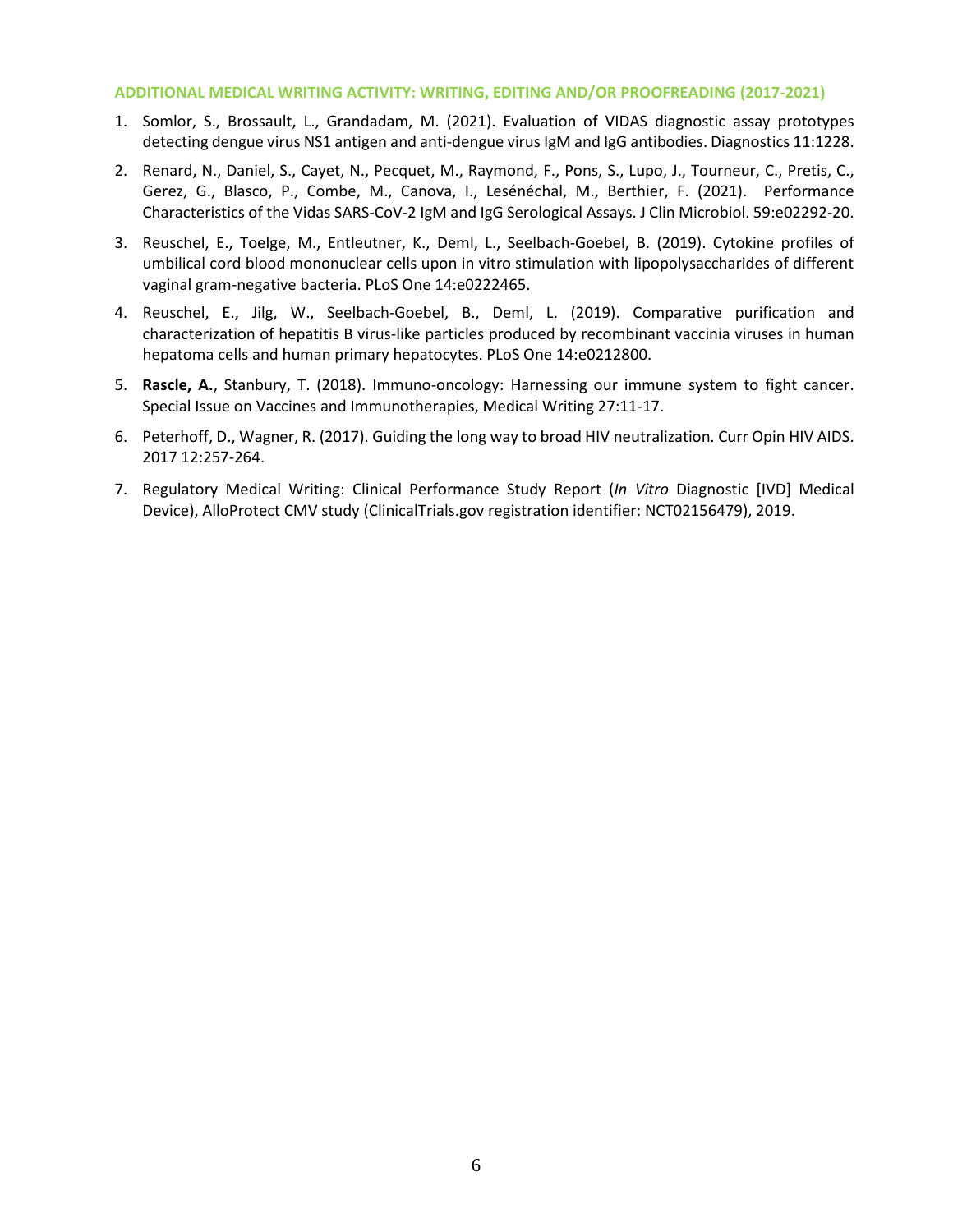#### **ADDITIONAL MEDICAL WRITING ACTIVITY: WRITING, EDITING AND/OR PROOFREADING (2017-2021)**

- 1. Somlor, S., Brossault, L., Grandadam, M. (2021). Evaluation of VIDAS diagnostic assay prototypes detecting dengue virus NS1 antigen and anti-dengue virus IgM and IgG antibodies. Diagnostics 11:1228.
- 2. Renard, N., Daniel, S., Cayet, N., Pecquet, M., Raymond, F., Pons, S., Lupo, J., Tourneur, C., Pretis, C., Gerez, G., Blasco, P., Combe, M., Canova, I., Lesénéchal, M., Berthier, F. (2021). Performance Characteristics of the Vidas SARS-CoV-2 IgM and IgG Serological Assays. J Clin Microbiol. 59:e02292-20.
- 3. Reuschel, E., Toelge, M., Entleutner, K., Deml, L., Seelbach-Goebel, B. (2019). Cytokine profiles of umbilical cord blood mononuclear cells upon in vitro stimulation with lipopolysaccharides of different vaginal gram-negative bacteria. PLoS One 14:e0222465.
- 4. Reuschel, E., Jilg, W., Seelbach-Goebel, B., Deml, L. (2019). Comparative purification and characterization of hepatitis B virus-like particles produced by recombinant vaccinia viruses in human hepatoma cells and human primary hepatocytes. PLoS One 14:e0212800.
- 5. **Rascle, A.**, Stanbury, T. (2018). Immuno-oncology: Harnessing our immune system to fight cancer. Special Issue on Vaccines and Immunotherapies, Medical Writing 27:11-17.
- 6. Peterhoff, D., Wagner, R. (2017). Guiding the long way to broad HIV neutralization. Curr Opin HIV AIDS. 2017 12:257-264.
- 7. Regulatory Medical Writing: Clinical Performance Study Report (*In Vitro* Diagnostic [IVD] Medical Device), AlloProtect CMV study (ClinicalTrials.gov registration identifier: NCT02156479), 2019.